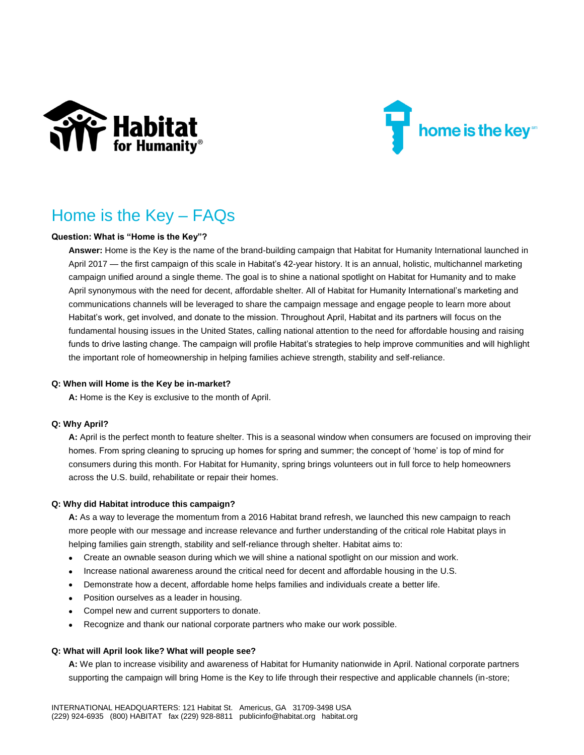



# Home is the Key – FAQs

# **Question: What is "Home is the Key"?**

**Answer:** Home is the Key is the name of the brand-building campaign that Habitat for Humanity International launched in April 2017 — the first campaign of this scale in Habitat's 42-year history. It is an annual, holistic, multichannel marketing campaign unified around a single theme. The goal is to shine a national spotlight on Habitat for Humanity and to make April synonymous with the need for decent, affordable shelter. All of Habitat for Humanity International's marketing and communications channels will be leveraged to share the campaign message and engage people to learn more about Habitat's work, get involved, and donate to the mission. Throughout April, Habitat and its partners will focus on the fundamental housing issues in the United States, calling national attention to the need for affordable housing and raising funds to drive lasting change. The campaign will profile Habitat's strategies to help improve communities and will highlight the important role of homeownership in helping families achieve strength, stability and self-reliance.

#### **Q: When will Home is the Key be in-market?**

**A:** Home is the Key is exclusive to the month of April.

# **Q: Why April?**

**A:** April is the perfect month to feature shelter. This is a seasonal window when consumers are focused on improving their homes. From spring cleaning to sprucing up homes for spring and summer; the concept of 'home' is top of mind for consumers during this month. For Habitat for Humanity, spring brings volunteers out in full force to help homeowners across the U.S. build, rehabilitate or repair their homes.

#### **Q: Why did Habitat introduce this campaign?**

**A:** As a way to leverage the momentum from a 2016 Habitat brand refresh, we launched this new campaign to reach more people with our message and increase relevance and further understanding of the critical role Habitat plays in helping families gain strength, stability and self-reliance through shelter. Habitat aims to:

- Create an ownable season during which we will shine a national spotlight on our mission and work.
- Increase national awareness around the critical need for decent and affordable housing in the U.S.
- Demonstrate how a decent, affordable home helps families and individuals create a better life.
- Position ourselves as a leader in housing.
- Compel new and current supporters to donate.
- Recognize and thank our national corporate partners who make our work possible.

#### **Q: What will April look like? What will people see?**

**A:** We plan to increase visibility and awareness of Habitat for Humanity nationwide in April. National corporate partners supporting the campaign will bring Home is the Key to life through their respective and applicable channels (in-store;